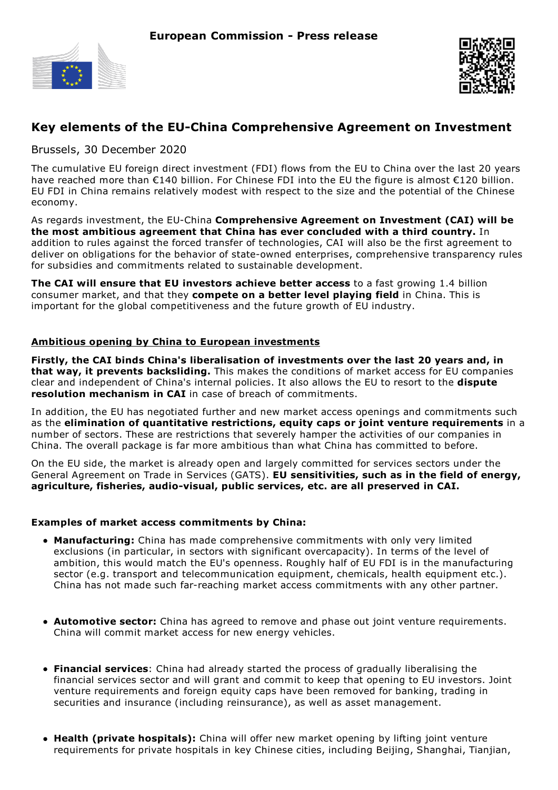



# **Key elements of the EU-China Comprehensive Agreement on Investment**

Brussels, 30 December 2020

The cumulative EU foreign direct investment (FDI) flows from the EU to China over the last 20 years have reached more than €140 billion. For Chinese FDI into the EU the figure is almost €120 billion. EU FDI in China remains relatively modest with respect to the size and the potential of the Chinese economy.

As regards investment, the EU-China **Comprehensive Agreement on Investment (CAI) will be the most ambitious agreement that China has ever concluded with a third country.** In addition to rules against the forced transfer of technologies, CAI will also be the first agreement to deliver on obligations for the behavior of state-owned enterprises, comprehensive transparency rules for subsidies and commitments related to sustainable development.

**The CAI will ensure that EU investors achieve better access** to a fast growing 1.4 billion consumer market, and that they **compete on a better level playing field** in China. This is important for the global competitiveness and the future growth of EU industry.

## **Ambitious opening by China to European investments**

**Firstly, the CAI binds China's liberalisation of investments over the last 20 years and, in that way, it prevents backsliding.** This makes the conditions of market access for EU companies clear and independent of China's internal policies. It also allows the EU to resort to the **dispute resolution mechanism in CAI** in case of breach of commitments.

In addition, the EU has negotiated further and new market access openings and commitments such as the **elimination of quantitative restrictions, equity caps or joint venture requirements** in a number of sectors. These are restrictions that severely hamper the activities of our companies in China. The overall package is far more ambitious than what China has committed to before.

On the EU side, the market is already open and largely committed for services sectors under the General Agreement on Trade in Services (GATS). **EU sensitivities, such as in the field of energy, agriculture, fisheries, audio-visual, public services, etc. are all preserved in CAI.**

# **Examples of market access commitments by China:**

- **Manufacturing:** China has made comprehensive commitments with only very limited exclusions (in particular, in sectors with significant overcapacity). In terms of the level of ambition, this would match the EU's openness. Roughly half of EU FDI is in the manufacturing sector (e.g. transport and telecommunication equipment, chemicals, health equipment etc.). China has not made such far-reaching market access commitments with any other partner.
- **Automotive sector:** China has agreed to remove and phase out joint venture requirements. China will commit market access for new energy vehicles.
- **Financial services**: China had already started the process of gradually liberalising the financial services sector and will grant and commit to keep that opening to EU investors. Joint venture requirements and foreign equity caps have been removed for banking, trading in securities and insurance (including reinsurance), as well as asset management.
- **Health (private hospitals):** China will offer new market opening by lifting joint venture requirements for private hospitals in key Chinese cities, including Beijing, Shanghai, Tianjian,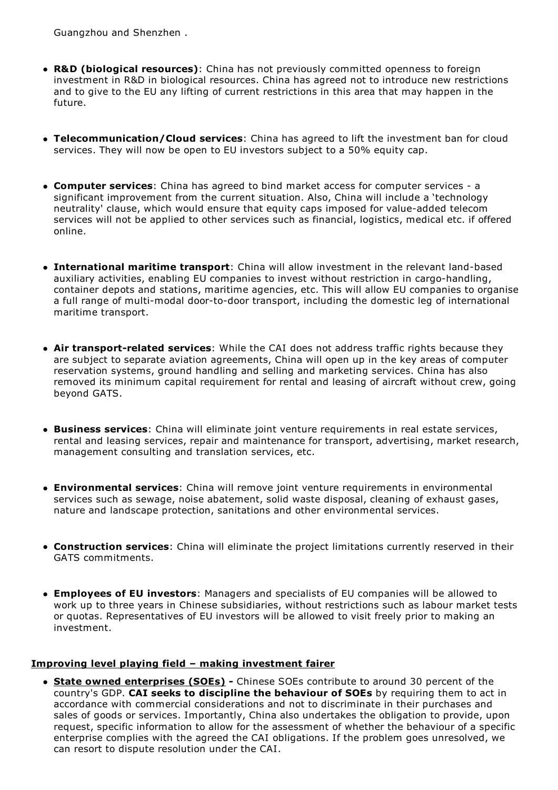Guangzhou and Shenzhen .

- **R&D (biological resources)**: China has not previously committed openness to foreign investment in R&D in biological resources. China has agreed not to introduce new restrictions and to give to the EU any lifting of current restrictions in this area that may happen in the future.
- **Telecommunication/Cloud services**: China has agreed to lift the investment ban for cloud services. They will now be open to EU investors subject to a 50% equity cap.
- **Computer services**: China has agreed to bind market access for computer services a significant improvement from the current situation. Also, China will include a 'technology neutrality' clause, which would ensure that equity caps imposed for value-added telecom services will not be applied to other services such as financial, logistics, medical etc. if offered online.
- **International maritime transport**: China will allow investment in the relevant land-based auxiliary activities, enabling EU companies to invest without restriction in cargo-handling, container depots and stations, maritime agencies, etc. This will allow EU companies to organise a full range of multi-modal door-to-door transport, including the domestic leg of international maritime transport.
- **Air transport-related services**: While the CAI does not address traffic rights because they are subject to separate aviation agreements, China will open up in the key areas of computer reservation systems, ground handling and selling and marketing services. China has also removed its minimum capital requirement for rental and leasing of aircraft without crew, going beyond GATS.
- **Business services**: China will eliminate joint venture requirements in real estate services, rental and leasing services, repair and maintenance for transport, advertising, market research, management consulting and translation services, etc.
- **Environmental services**: China will remove joint venture requirements in environmental services such as sewage, noise abatement, solid waste disposal, cleaning of exhaust gases, nature and landscape protection, sanitations and other environmental services.
- **Construction services**: China will eliminate the project limitations currently reserved in their GATS commitments.
- **Employees of EU investors**: Managers and specialists of EU companies will be allowed to work up to three years in Chinese subsidiaries, without restrictions such as labour market tests or quotas. Representatives of EU investors will be allowed to visit freely prior to making an investment.

#### **Improving level playing field – making investment fairer**

**State owned enterprises (SOEs) -** Chinese SOEs contribute to around 30 percent of the country's GDP. **CAI seeks to discipline the behaviour of SOEs** by requiring them to act in accordance with commercial considerations and not to discriminate in their purchases and sales of goods or services. Importantly, China also undertakes the obligation to provide, upon request, specific information to allow for the assessment of whether the behaviour of a specific enterprise complies with the agreed the CAI obligations. If the problem goes unresolved, we can resort to dispute resolution under the CAI.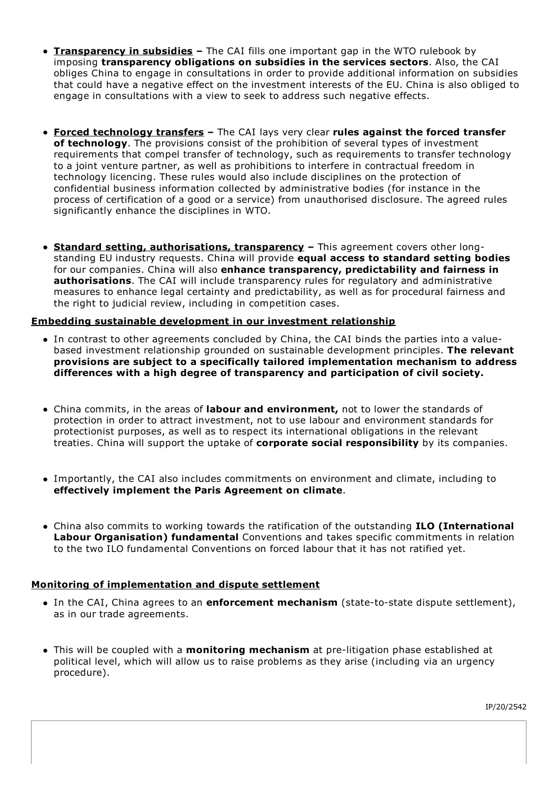- **Transparency in subsidies –** The CAI fills one important gap in the WTO rulebook by imposing **transparency obligations on subsidies in the services sectors**. Also, the CAI obliges China to engage in consultations in order to provide additional information on subsidies that could have a negative effect on the investment interests of the EU. China is also obliged to engage in consultations with a view to seek to address such negative effects.
- **Forced technology transfers –** The CAI lays very clear **rules against the forced transfer of technology**. The provisions consist of the prohibition of several types of investment requirements that compel transfer of technology, such as requirements to transfer technology to a joint venture partner, as well as prohibitions to interfere in contractual freedom in technology licencing. These rules would also include disciplines on the protection of confidential business information collected by administrative bodies (for instance in the process of certification of a good or a service) from unauthorised disclosure. The agreed rules significantly enhance the disciplines in WTO.
- **Standard setting, authorisations, transparency –** This agreement covers other longstanding EU industry requests. China will provide **equal access to standard setting bodies** for our companies. China will also **enhance transparency, predictability and fairness in authorisations**. The CAI will include transparency rules for regulatory and administrative measures to enhance legal certainty and predictability, as well as for procedural fairness and the right to judicial review, including in competition cases.

## **Embedding sustainable development in our investment relationship**

- In contrast to other agreements concluded by China, the CAI binds the parties into a valuebased investment relationship grounded on sustainable development principles. **The relevant provisions are subject to a specifically tailored implementation mechanism to address differences with a high degree of transparency and participation of civil society.**
- China commits, in the areas of **labour and environment,** not to lower the standards of protection in order to attract investment, not to use labour and environment standards for protectionist purposes, as well as to respect its international obligations in the relevant treaties. China will support the uptake of **corporate social responsibility** by its companies.
- Importantly, the CAI also includes commitments on environment and climate, including to **effectively implement the Paris Agreement on climate**.
- China also commits to working towards the ratification of the outstanding **ILO (International Labour Organisation) fundamental** Conventions and takes specific commitments in relation to the two ILO fundamental Conventions on forced labour that it has not ratified yet.

# **Monitoring of implementation and dispute settlement**

- In the CAI, China agrees to an **enforcement mechanism** (state-to-state dispute settlement), as in our trade agreements.
- This will be coupled with a **monitoring mechanism** at pre-litigation phase established at political level, which will allow us to raise problems as they arise (including via an urgency procedure).